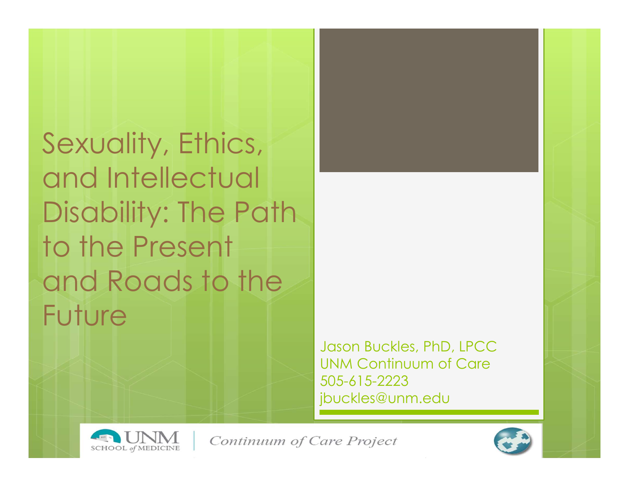Sexuality, Ethics, and Intellectual Disability: The Path to the Present and Roads to the Future

> Jason Buckles, PhD, LPCC UNM Continuum of Care 505-615-2223 jbuckles@unm.edu



Continuum of Care Project

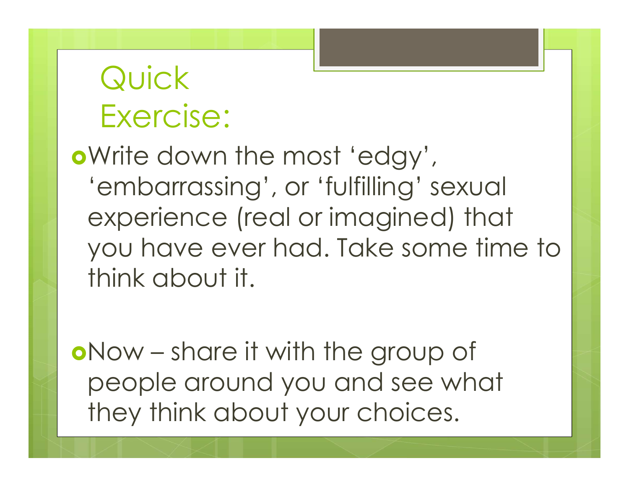### Quick Exercise:

Write down the most 'edgy', 'embarrassing', or 'fulfilling' sexual experience (real or imagined) that you have ever had. Take some time to think about it. **o**Write down the most 'edgy',<br>
'embarrassing', or 'fulfilling' sexual<br>
experience (real or imagined) that<br>
you have ever had. Take some time to<br>
think about it.<br> **o**Now – share it with the group of<br>
people around you and

people around you and see what they think about your choices.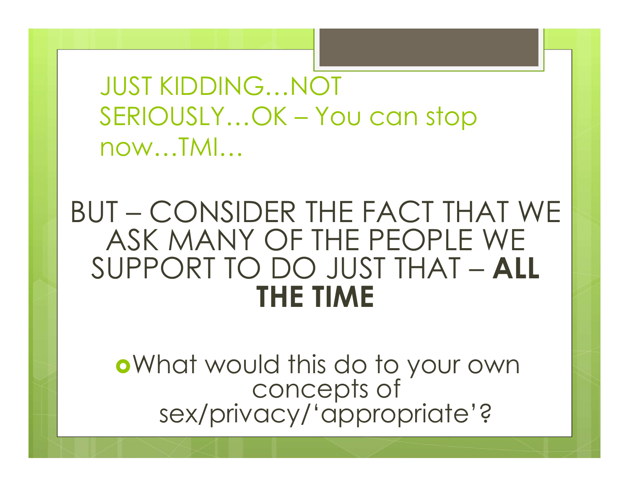JUST KIDDING…NOT JUST KIDDING...NOT<br>SERIOUSLY...OK – You can stop<br>now...TMI... now…TMI…

# UUST KIDDING...NOT<br>
SERIOUSLY...OK – You can stop<br>
now...TMI...<br>
BUT – CONSIDER THE FACT THAT WE<br>
ASK MANY OF THE PEOPLE WE<br>
SUPPORT TO DO JUST THAT \_ ALL ASK MANY OF THE PEOPLE WE SUPPORT TO DO JUST THAT – ALL THE TIME

What would this do to your own concepts of Theorem sex/privacy/'appropriate'?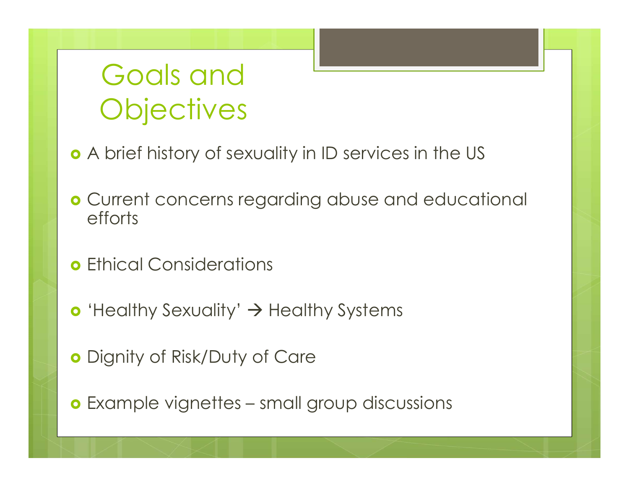#### Goals and **Objectives**

- A brief history of sexuality in ID services in the US
- Current concerns regarding abuse and educational efforts • Current concerns regaraing abuse and educational efforts<br>• Ethical Considerations<br>• 'Healthy Sexuality' → Healthy Systems<br>• Dignity of Risk/Duty of Care<br>• Example vignettes – small group discussions
- Ethical Considerations
- $\bullet$  'Healthy Sexuality'  $\rightarrow$  Healthy Systems
- o Dignity of Risk/Duty of Care
-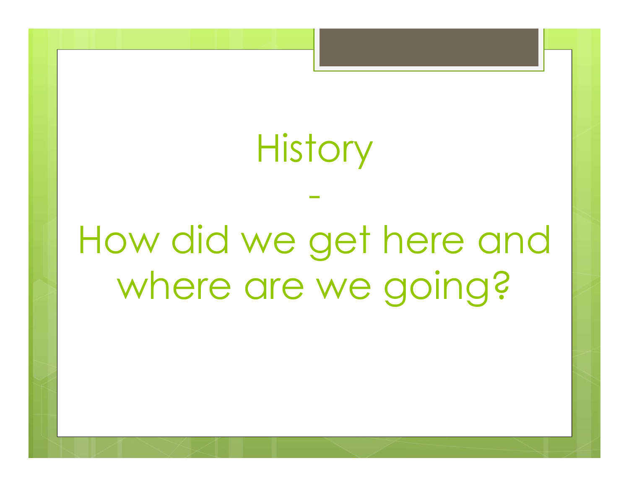**History** 

-

How did we get here and where are we going?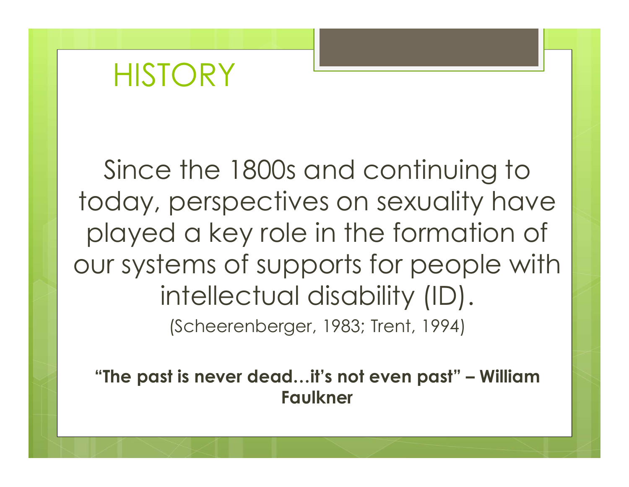#### **HISTORY**

Since the 1800s and continuing to today, perspectives on sexuality have played a key role in the formation of our systems of supports for people with intellectual disability (ID). (Scheerenberger, 1983; Trent, 1994) Since the Toods and Commong to<br>Dday, perspectives on sexuality have<br>Dlayed a key role in the formation of<br>Ur systems of supports for people with<br>intellectual disability (ID).<br>Scheerenberger, 1983; Trent, 1994)<br>"The past is

Faulkner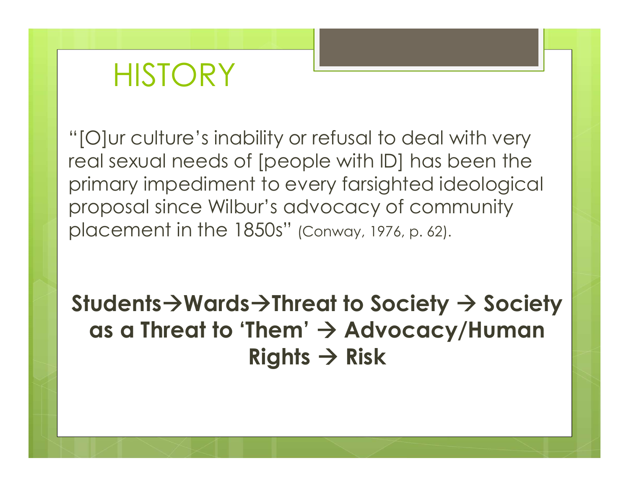#### **HISTORY**

Warehouse Marketter History<br>"[O]ur culture's inability or refusal to deal with very<br>real sexual needs of [people with ID] has been the<br>primary impediment to every farsighted ideological real sexual needs of [people with ID] has been the primary impediment to every farsighted ideological proposal since Wilbur's advocacy of community placement in the 1850s" (Conway, 1976, p. 62). "[O]ur culture's inability or refusal to deal with very<br>
real sexual needs of [people with ID] has been the<br>
primary impediment to every farsighted ideological<br>
proposal since Wilbur's advocacy of community<br>
placement in

as a Threat to 'Them'  $\rightarrow$  Advocacy/Human Rights  $\rightarrow$  Risk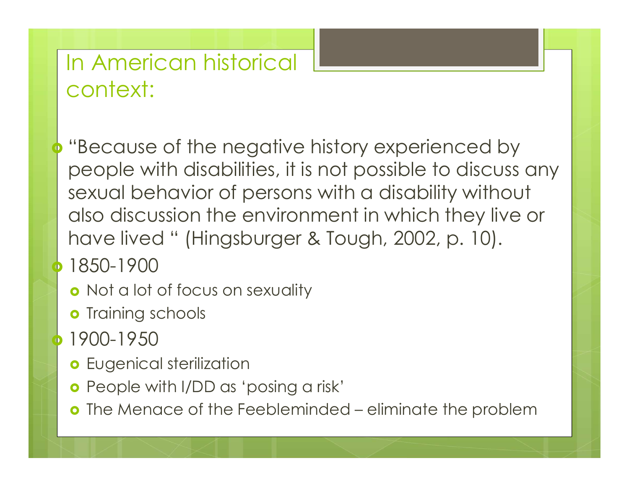#### In American historical context:

 "Because of the negative history experienced by people with disabilities, it is not possible to discuss any sexual behavior of persons with a disability without also discussion the environment in which they live or In American historical<br>
context:<br>
"Because of the negative history experienced by<br>
people with disabilities, it is not possible to discuss any<br>
sexual behavior of persons with a disability without<br>
also discussion the envi people with disabilities, it is not possible<br>sexual behavior of persons with a disab<br>also discussion the environment in whic<br>have lived " (Hingsburger & Tough, 200:<br>1850-1900<br>• Not a lot of focus on sexuality<br>• Training sc contract the Menace of the Feebleminded – eliminate the problem<br>
1850-1900<br>
1850-1900<br>
1850-1900<br>
1860-1900<br>
1860-1950<br>
1900-1950<br>
1900-1950<br>
1900-1950<br>
1900-1950<br>
1900-1950<br>
1900-1950<br>
1900-1950<br>
1900-1950<br>
1900-1950<br>
190

- 1850-1900
	- **o** Not a lot of focus on sexuality
	- **o** Training schools
- 1900-1950
	-
	- **o** People with I/DD as 'posing a risk'
	-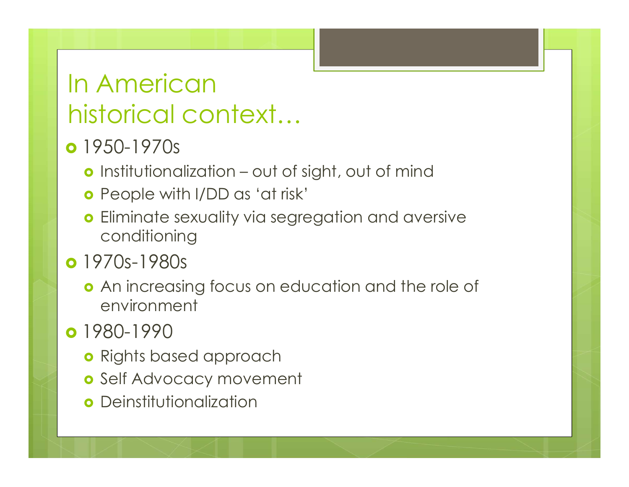# In American historical context… 1 American<br>1950-1970s<br>1950-1970s<br>1950-1970s<br>1960-1970s<br>1960-1970s (antistributionalization – out of sight, out of mind<br>1960-1970s (antistribution – out of sight, out of mind<br>1960-1970s (antistribution – out of sight, out o

#### • 1950-1970s

- 
- People with I/DD as 'at risk'
- **o** Eliminate sexuality via segregation and aversive conditioning

#### **o** 1970s-1980s

**o** An increasing focus on education and the role of environment

#### o 1980-1990

- **o** Rights based approach
- o Self Advocacy movement
- **o** Deinstitutionalization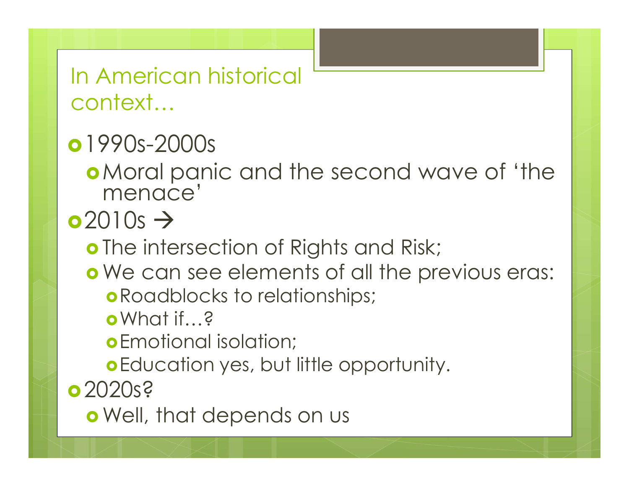In American historical context…

#### •1990s-2000s

Moral panic and the second wave of 'the menace'

 $\sim$  2010s  $\rightarrow$ 

o The intersection of Rights and Risk;

- o We can see elements of all the previous eras:
	- Roadblocks to relationships;
	- What if…?

Emotional isolation;

Education yes, but little opportunity.

•2020s?

Well, that depends on us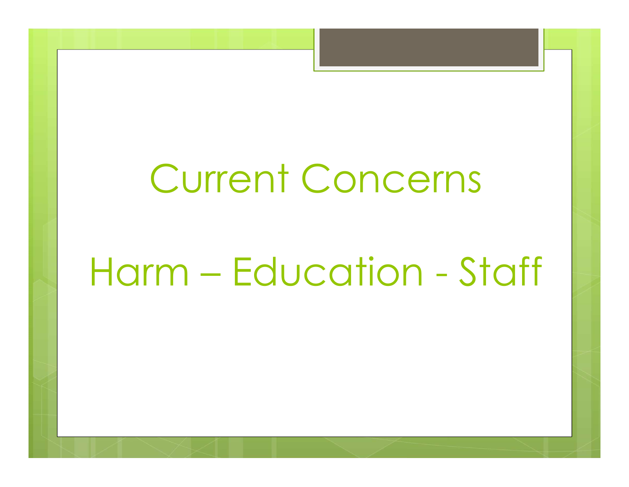# Current Concerns Current Concerns<br>Harm – Education - Staff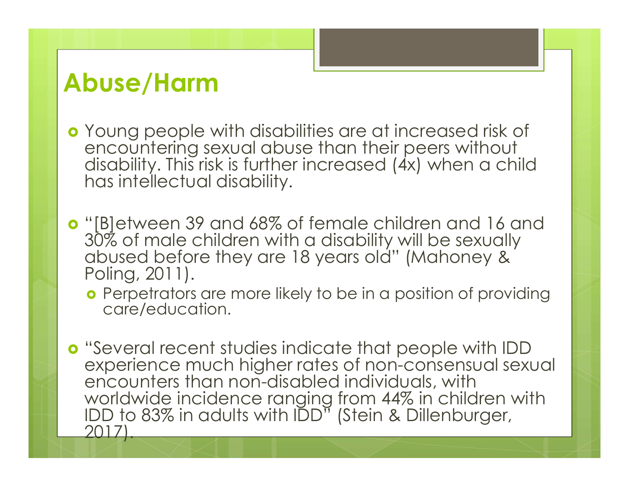#### Abuse/Harm

- Young people with disabilities are at increased risk of encountering sexual abuse than their peers without disability. This risk is further increased (4x) when a child has intellectual disability. **Abuse/Harm**<br>
• Young people with disabilities are at increased risk of<br>
• encountering sexual abuse than their peers without<br>
disability. This risk is further increased (4x) when a child<br>
has intellectual disability.<br>
• "
- "[B]etween 39 and 68% of female children and 16 and<br>30% of male children with a disability will be sexually abused before they are 18 years old" (Mahoney & Poling, 2011).
	- Perpetrators are more likely to be in a position of providing care/education.
- "Several recent studies indicate that people with IDD experience much higher rates of non-consensual sexual encounters than non-disabled individuals, with worldwide incidence ranging from 44% in children with IDD to 83% in adults with IDD" (Stein & Dillenburger, 2017).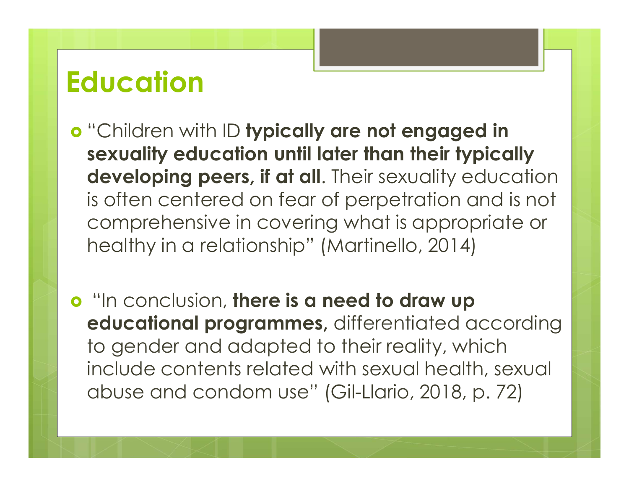#### **Education**

- "Children with ID typically are not engaged in sexuality education until later than their typically developing peers, if at all. Their sexuality education is often centered on fear of perpetration and is not comprehensive in covering what is appropriate or healthy in a relationship" (Martinello, 2014)
- **o** "In conclusion, there is a need to draw up educational programmes, differentiated according to gender and adapted to their reality, which include contents related with sexual health, sexual abuse and condom use" (Gil-Llario, 2018, p. 72)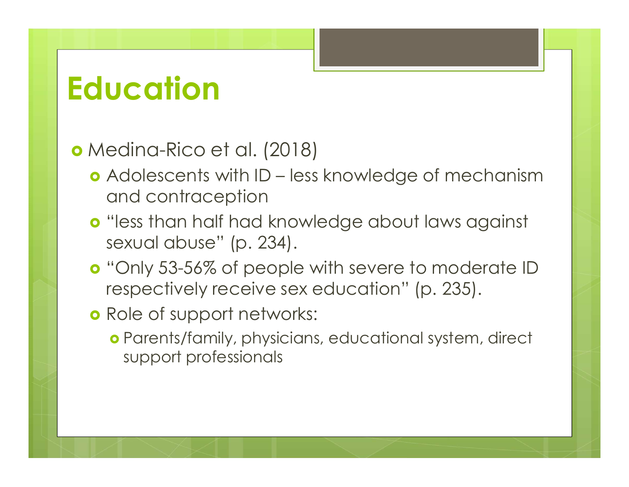#### Education

#### Medina-Rico et al. (2018)

- **AUCATION<br>
Adolescents with ID less knowledge of mechanism<br>
and contraception<br>
o "less than half had knowledge about laws against** and contraception
- "less than half had knowledge about laws against sexual abuse" (p. 234).
- **o** "Only 53-56% of people with severe to moderate ID respectively receive sex education" (p. 235).
- **o** Role of support networks:
	- Parents/family, physicians, educational system, direct support professionals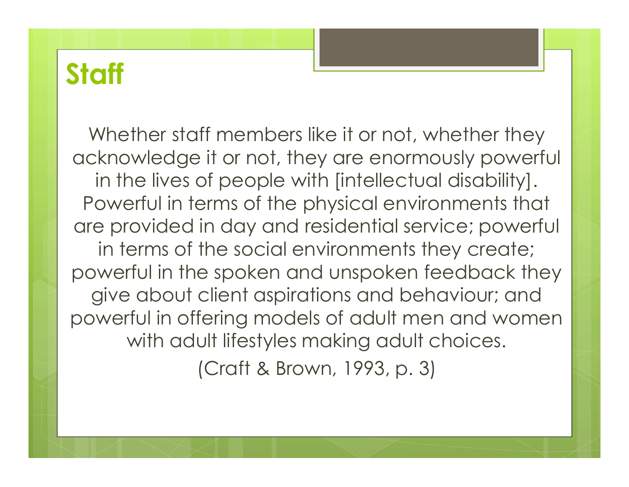#### **Staff**

Whether staff members like it or not, whether they acknowledge it or not, they are enormously powerful in the lives of people with [intellectual disability]. Powerful in terms of the physical environments that are provided in day and residential service; powerful in terms of the social environments they create; powerful in the spoken and unspoken feedback they give about client aspirations and behaviour; and powerful in offering models of adult men and women with adult lifestyles making adult choices. (Craft & Brown, 1993, p. 3)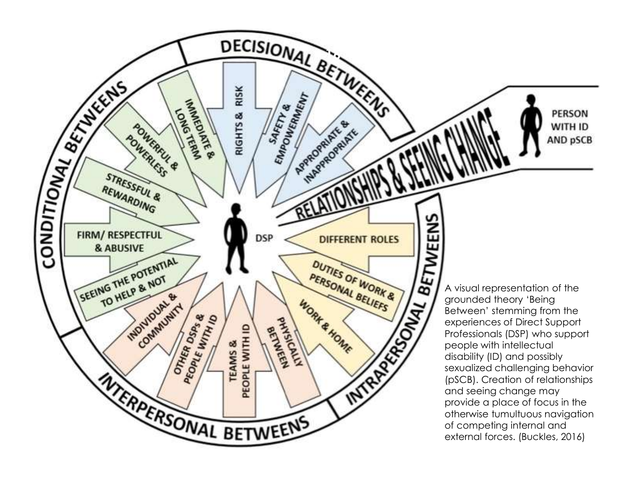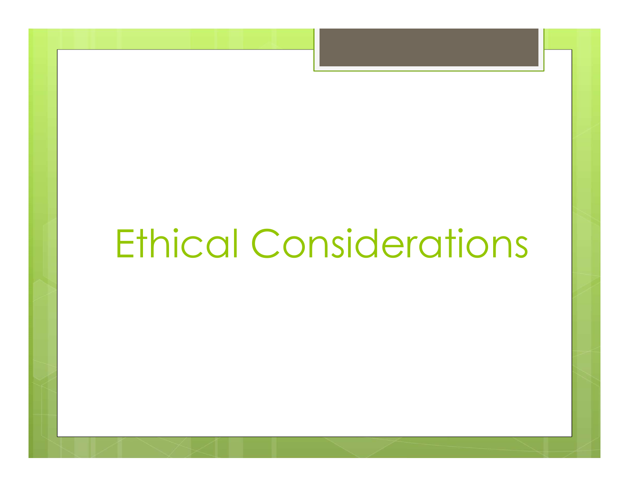## Ethical Considerations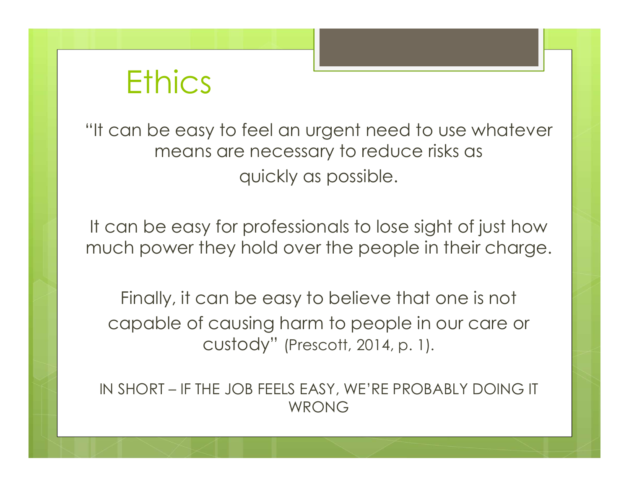#### **Ethics**

"It can be easy to feel an urgent need to use whatever means are necessary to reduce risks as quickly as possible.

It can be easy for professionals to lose sight of just how much power they hold over the people in their charge.

Finally, it can be easy to believe that one is not capable of causing harm to people in our care or custody" (Prescott, 2014, p. 1). IN SHORT – IF THE JOB FEELS EASY, WE'RE PROBABLY DOING IT

WRONG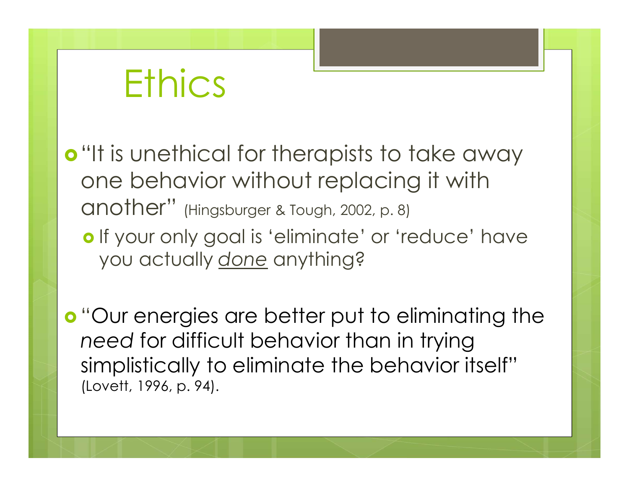## **Ethics**

- o "It is unethical for therapists to take away one behavior without replacing it with Ethics<br>"It is unethical for therapists to take away<br>one behavior without replacing it with<br>another" (Hingsburger & Tough, 2002, p. 8)<br>o If your only goal is 'eliminate' or 'reduce' have<br>you actually done anything?
	- o If your only goal is 'eliminate' or 'reduce' have you actually done anything?

 "Our energies are better put to eliminating the need for difficult behavior than in trying simplistically to eliminate the behavior itself" (Lovett, 1996, p. 94).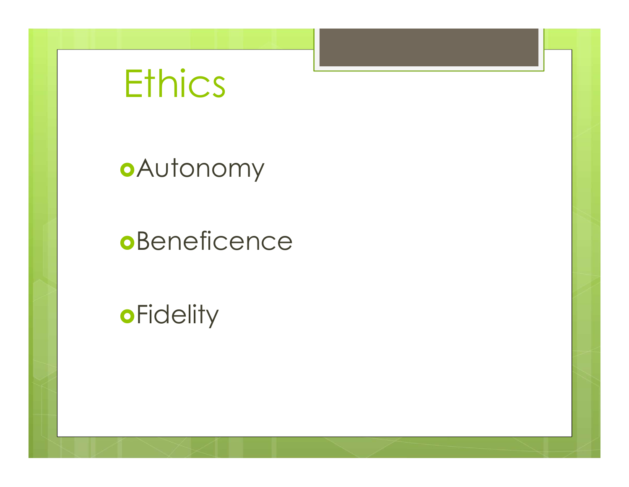## **Ethics**

Autonomy

#### **o**Beneficence

**oFidelity**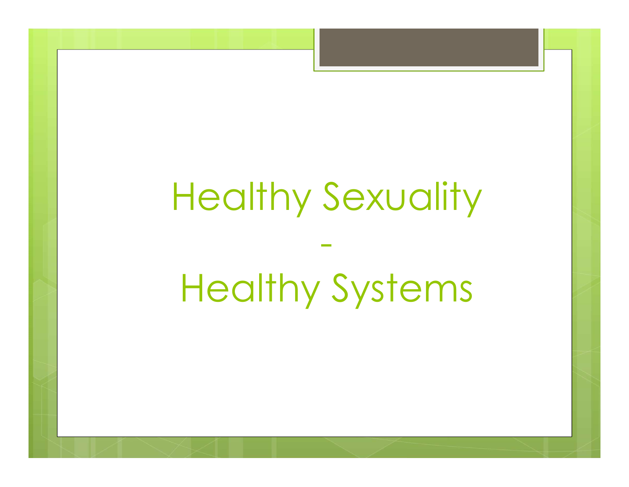## Healthy Sexuality

## Healthy Systems

-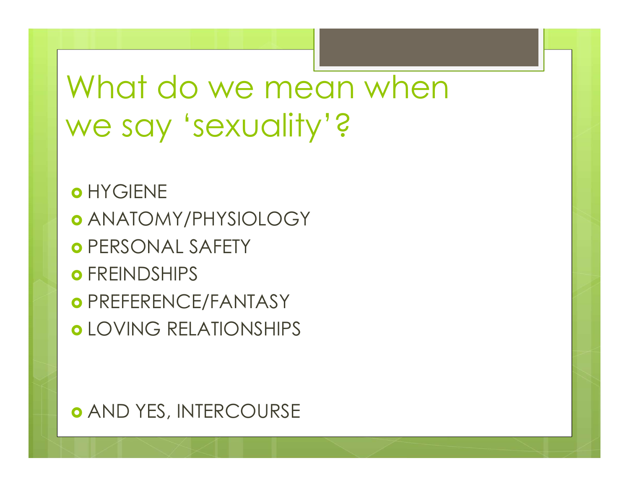### What do we mean when we say 'sexuality'?

**o** HYGIENE ANATOMY/PHYSIOLOGY **O** PERSONAL SAFETY **o** FREINDSHIPS **O** PREFERENCE/FANTASY o LOVING RELATIONSHIPS

**o AND YES, INTERCOURSE**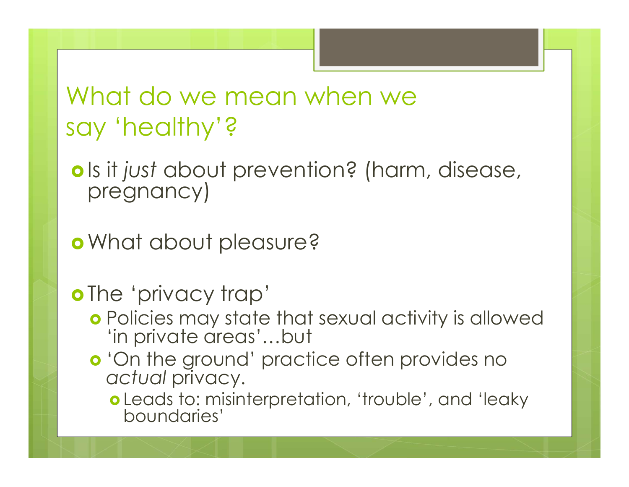#### What do we mean when we say 'healthy'?

o Is it just about prevention? (harm, disease, pregnancy)

What about pleasure?

o The 'privacy trap'

- Policies may state that sexual activity is allowed 'in private areas'…but
- 'On the ground' practice often provides no actual privacy.
	- Leads to: misinterpretation, 'trouble', and 'leaky boundaries'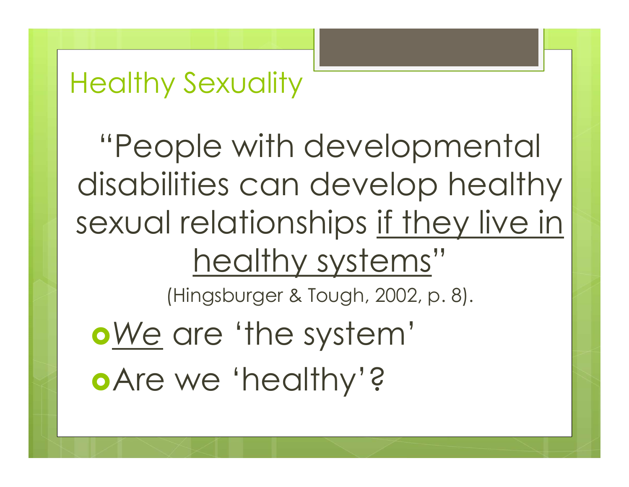#### Healthy Sexuality

"People with developmental disabilities can develop healthy sexual relationships if they live in healthy systems" pple with developmental<br>lities can develop health<br>I relationships <u>if they live in<br>healthy systems</u>"<br>(Hingsburger & Tough, 2002, p. 8).<br>are 'the system' We are 'the system' Are we 'healthy'?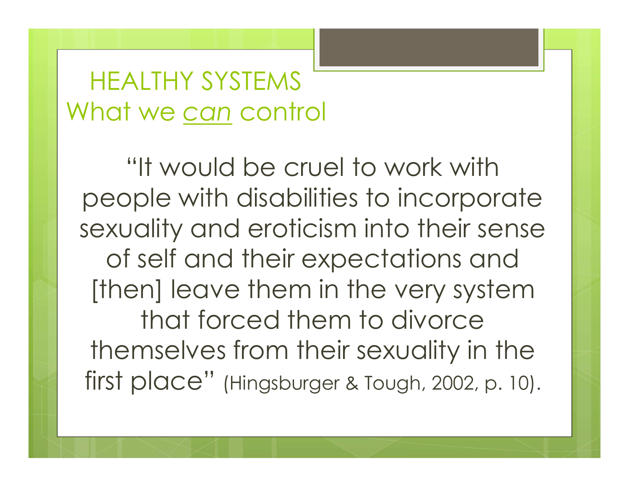#### HEALTHY SYSTEMS What we can control

"It would be cruel to work with people with disabilities to incorporate sexuality and eroticism into their sense of self and their expectations and [then] leave them in the very system that forced them to divorce themselves from their sexuality in the First place" (Hingsburger & Tough, 2002, p. 10).<br>
Then I leave them in the very system that forced them to divorce themselves from their sexuality in the first place" (Hingsburger & Tough, 2002, p. 10).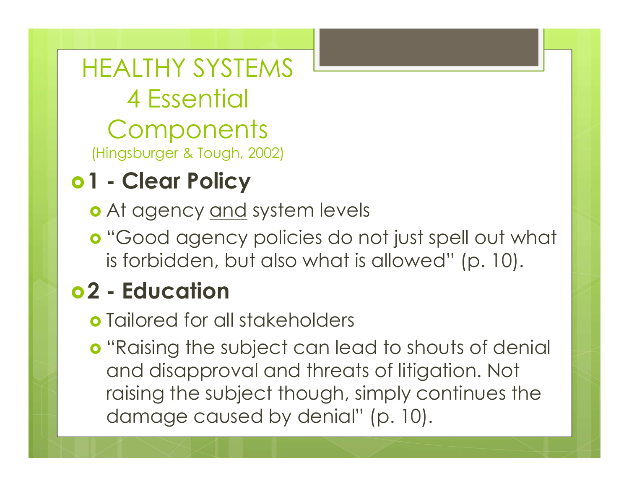HEALTHY SYSTEMS<br>4 Essential<br>Components<br><sup>(Hingsburger & Tough, 2002)</sup><br>0 **1 - Clear Policy**<br>0 At agency <u>and</u> system levels<br>a "Good agency religies de not HEALTHY SYSTEMS<br>
4 Essential<br>
Components<br>
(Hingsburger & Tough, 2002)<br> **1 - Clear Policy<br>
o** At agency <u>and</u> system levels<br> **o** "Good agency policies do not just spell out<br>
is forbidden but also what is allowed" (p. 10 4 Essential<br>
Components<br>
(Hingsburger & Tough, 2002)<br> **01 - Clear Policy**<br> **0** At agency <u>and</u> system levels<br> **0** "Good agency policies do no<br>
is forbidden, but also what is c<br> **02 - Education**<br> **0** Tailored for all stakeh HEALTHY SYSTEMS 4 Essential **Components** HEALTHY SYSTEMS<br>4 Essential<br>Components<br><sup>(Hingsburger & Tough, 2002)</sup><br>1 - **Clear Policy** 

- 
- **o** "Good agency policies do not just spell out what is forbidden, but also what is allowed" (p. 10).

- Tailored for all stakeholders
- **o** "Raising the subject can lead to shouts of denial and disapproval and threats of litigation. Not raising the subject though, simply continues the damage caused by denial" (p. 10).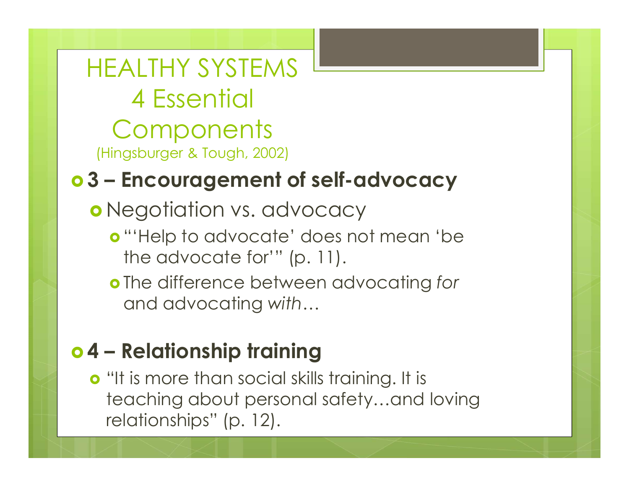HEALTHY SYSTEMS 4 Essential **Components** HEALTHY SYSTEMS<br>4 Essential<br>Components<br>Hingsburger & Tough, 2002)<br>**3 - Encouragement of self-advocac** HEALTHY SYSTEMS<br>
4 Essential<br>
Components<br>
(Hingsburger & Tough, 2002)<br>
03 – Encouragement of self-advocacy<br>
0 Negotiation vs. advocacy

- o Negotiation vs. advocacy
	- **o** "'Help to advocate' does not mean 'be the advocate for'" (p. 11).
	- **o** The difference between advocating for and advocating with…

(Hingsburger & Tough, 2002)<br> **o 3 – Encouragement of self-advocacy**<br> **o** Negotiation vs. advocacy<br> **o** "'Help to advocate' does not mean 'be<br>
the advocate for'" (p. 11).<br> **o** The difference between advocating for<br>
and adv o "It is more than social skills training. It is teaching about personal safety…and loving relationships" (p. 12).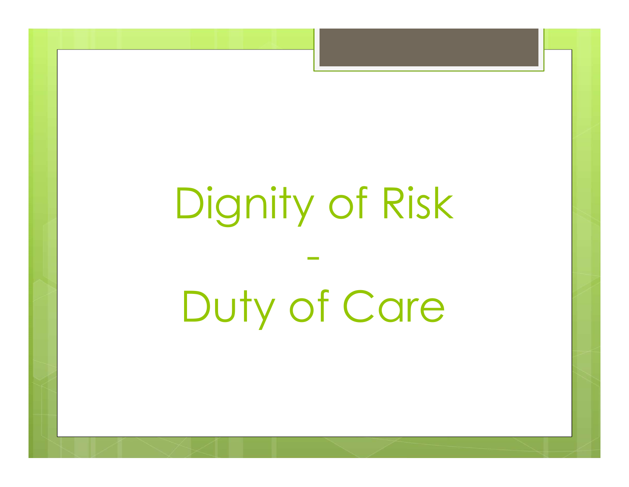## Dignity of Risk

-

Duty of Care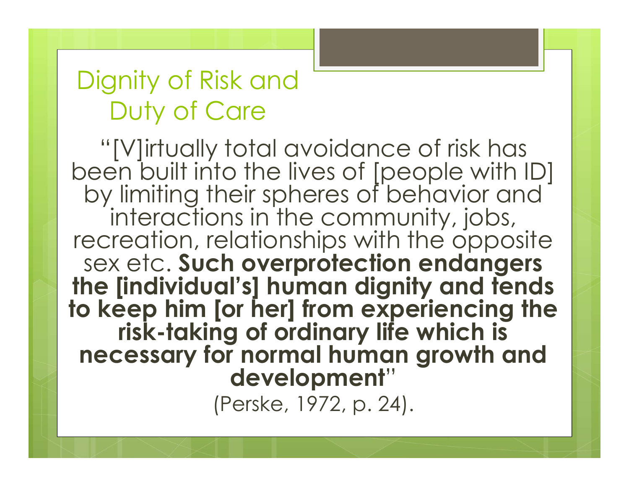#### Dignity of Risk and Duty of Care

mity of Risk and<br>"[V]irtually total avoidance of risk has<br>"[V]irtually total avoidance of risk has<br>en built into the lives of [people with ID]<br>y limiting their spheres of behavior and been built into the lives of [people with ID] by limiting their spheres of behavior and<br>interactions in the community, jobs, recreation, relationships with the opposite<br>sex etc. Such overprotection endangers the [individual's] human dignity and tends<br>to keep him [or her] from experiencing the<br>risk-taking of ordinary life which is<br>necessary for normal human growth and development"

(Perske, 1972, p. 24).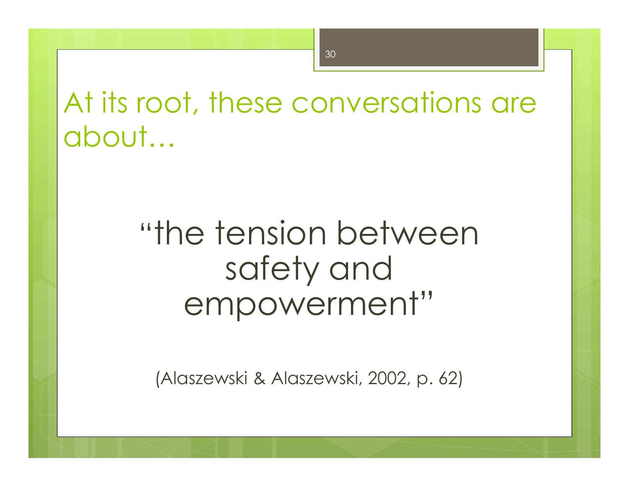At its root, these conversations are about…

# "the tension between safety and empowerment" the tension between<br>safety and<br>empowerment"<br>(Alaszewski & Alaszewski, 2002, p. 62)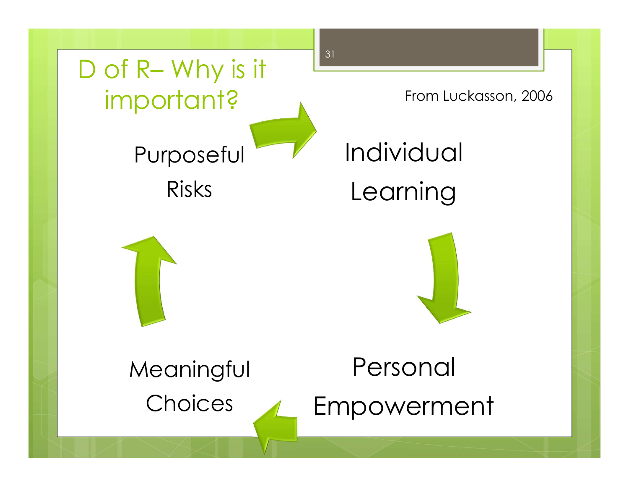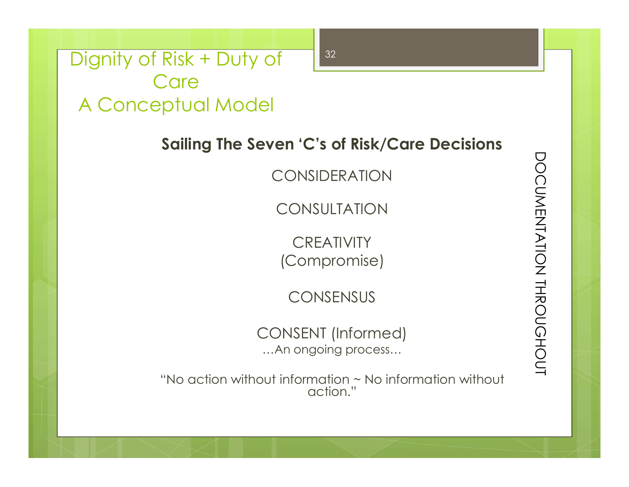Dignity of Risk + Duty of 232 Care A Conceptual Model

Sailing The Seven 'C's of Risk/Care Decisions<br>
CONSIDERATION<br>
CONSULTATION<br>
CREATIVITY<br>
(Compromise)<br>
CONSENSUS<br>
CONSENT (Informed)<br>
....An ongoing process...

CONSIDERATION

CONSULTATION

**CREATIVITY** (Compromise)

**CONSENSUS** 

CONSENT (Informed) …An ongoing process…

"No action without information ~ No information without action."

32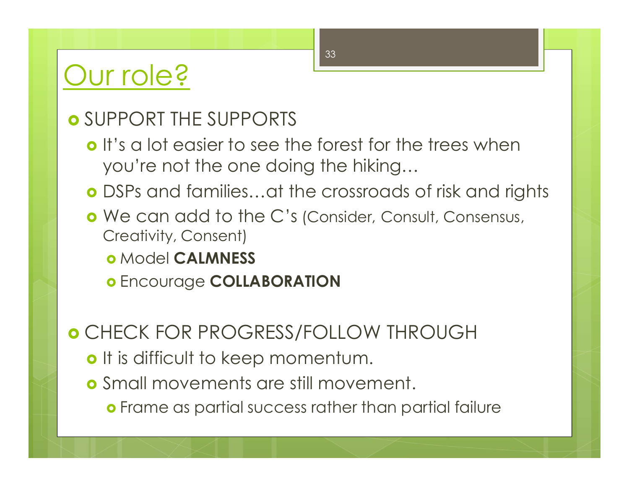#### Our role?

#### o SUPPORT THE SUPPORTS

- o It's a lot easier to see the forest for the trees when you're not the one doing the hiking…
- DSPs and families…at the crossroads of risk and rights
- **o** We can add to the C's (Consider, Consult, Consensus, Creativity, Consent)
	- o Model CALMNESS
	- o Encourage COLLABORATION

#### CHECK FOR PROGRESS/FOLLOW THROUGH

- o It is difficult to keep momentum.
- Small movements are still movement.
	- Frame as partial success rather than partial failure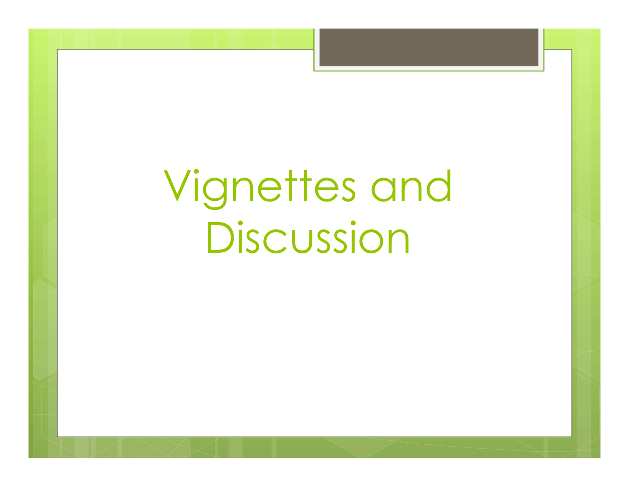## Vignettes and Discussion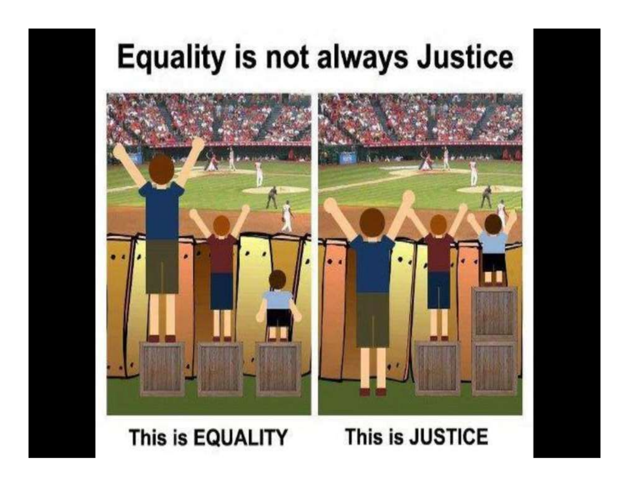### **Equality is not always Justice**



#### This is EQUALITY

#### This is JUSTICE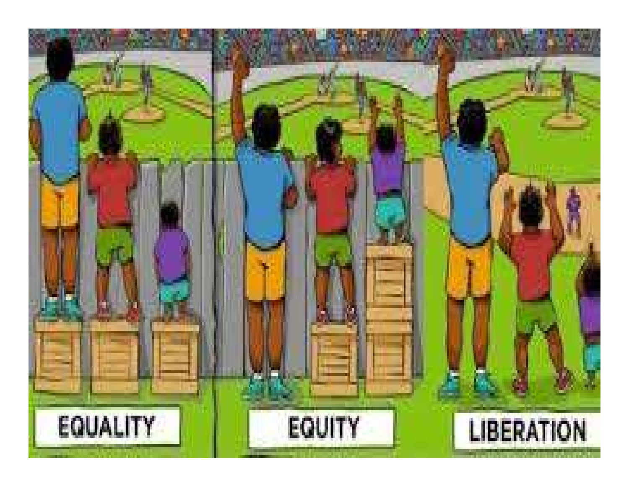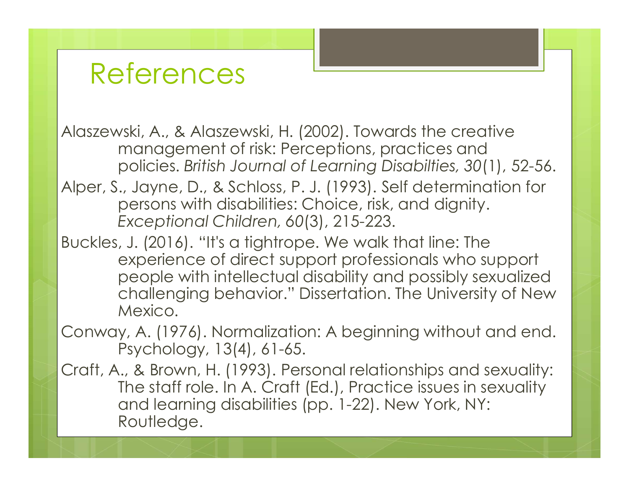Alaszewski, A., & Alaszewski, H. (2002). Towards the creative management of risk: Perceptions, practices and policies. British Journal of Learning Disabilties, 30(1), 52-56.

Alper, S., Jayne, D., & Schloss, P. J. (1993). Self determination for persons with disabilities: Choice, risk, and dignity. Exceptional Children, 60(3), 215-223.

Buckles, J. (2016). "It's a tightrope. We walk that line: The experience of direct support professionals who support people with intellectual disability and possibly sexualized challenging behavior." Dissertation. The University of New Mexico.

Conway, A. (1976). Normalization: A beginning without and end. Psychology, 13(4), 61-65.

Craft, A., & Brown, H. (1993). Personal relationships and sexuality: The staff role. In A. Craft (Ed.), Practice issues in sexuality and learning disabilities (pp. 1-22). New York, NY: Routledge.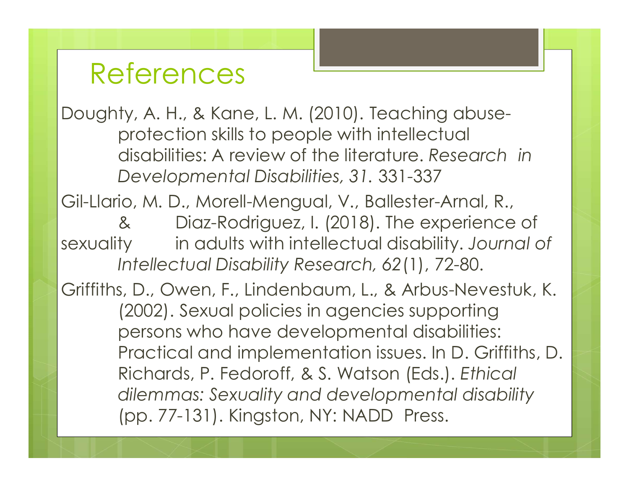Doughty, A. H., & Kane, L. M. (2010). Teaching abuseprotection skills to people with intellectual disabilities: A review of the literature. Research in Developmental Disabilities, 31. 331-337

Gil-Llario, M. D., Morell-Mengual, V., Ballester-Arnal, R., & Diaz-Rodriguez, I. (2018). The experience of sexuality in adults with intellectual disability. Journal of Intellectual Disability Research, 62(1), 72-80.

Griffiths, D., Owen, F., Lindenbaum, L., & Arbus-Nevestuk, K. (2002). Sexual policies in agencies supporting persons who have developmental disabilities: Practical and implementation issues. In D. Griffiths, D. Richards, P. Fedoroff, & S. Watson (Eds.). Ethical dilemmas: Sexuality and developmental disability (pp. 77-131). Kingston, NY: NADD Press.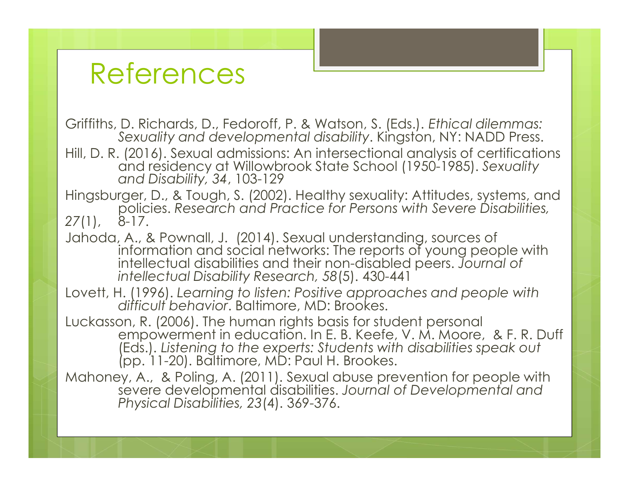Griffiths, D. Richards, D., Fedoroff, P. & Watson, S. (Eds.). Ethical dilemmas: Sexuality and developmental disability. Kingston, NY: NADD Press.

References<br>
Griffiths, D. Richards, D., Fedoroff, P. & Watson, S. (Eds.), Ethical dilemmas:<br>
Sexuality and developmental disability. Kingston, NY: NADD Press.<br>
Hill, D. R. (2016). Sexual admissions: An intersectional analy and residency at Willowbrook State School (1950-1985). Sexuality<br>and Disability, 34, 103-129

Hingsburger, D., & Tough, S. (2002). Healthy sexuality: Attitudes, systems, and policies. Research and Practice for Persons with Severe Disabilities, 27(1), 8-17.

- Jahoda, A., & Pownall, J. (2014). Sexual understanding, sources of information and social networks: The reports of young people with intellectual disabilities and their non-disabled peers. Journal of intellectual Disability Research, 58(5). 430-441
- Lovett, H. (1996). Learning to listen: Positive approaches and people with difficult behavior. Baltimore, MD: Brookes.

Luckasson, R. (2006). The human rights basis for student personal empowerment in education. In E. B. Keefe, V. M. Moore, & F. R. Duff (Eds.). Listening to the experts: Students with disabilities speak out<br>(pp. 11-20). Baltimore, MD: Paul H. Brookes.

Mahoney, A., & Poling, A. (2011). Sexual abuse prevention for people with severe developmental disabilities. Journal of Developmental and Physical Disabilities, 23(4). 369-376.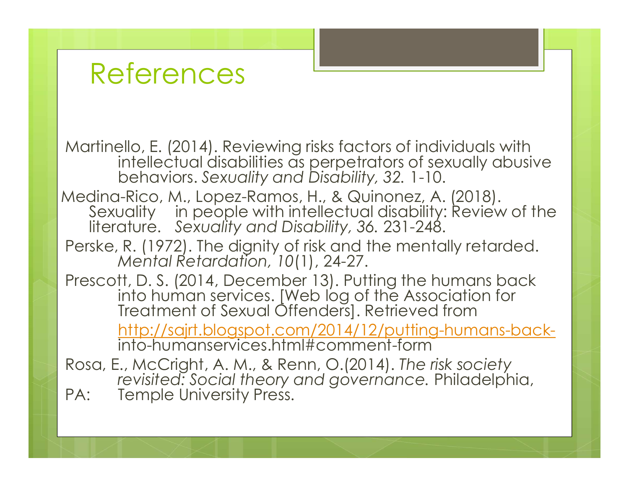Martinello, E. (2014). Reviewing risks factors of individuals with intellectual disabilities as perpetrators of sexually abusive behaviors. Sexuality and Disability, 32. 1-10.

Medina-Rico, M., Lopez-Ramos, H., & Quinonez, A. (2018). Sexuality in people with intellectual disability: Review of the literature. Sexuality and Disability, 36. 231-248.

Perske, R. (1972). The dignity of risk and the mentally retarded. Mental Retardation, 10(1), 24-27.

Prescott, D. S. (2014, December 13). Putting the humans back into human services. [Web log of the Association for Freatment of Sexual Offenders]. Retrieved from http://sajrt.blogspot.com/2014/12/putting-humans-backinto-humanservices.html#comment-form

Rosa, E., McCright, A. M., & Renn, O.(2014). The risk society revisited: Social theory and governance. Philadelphia, PA: Temple University Press.